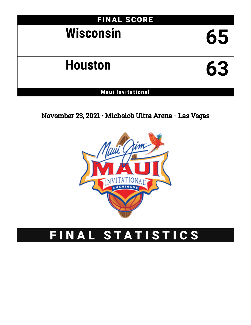| <b>FINAL SCORE</b>       |    |
|--------------------------|----|
| <b>Wisconsin</b>         | 65 |
| <b>Houston</b>           | 63 |
| <b>Maui Invitational</b> |    |

November 23, 2021 • Michelob Ultra Arena - Las Vegas



# FINAL STATISTICS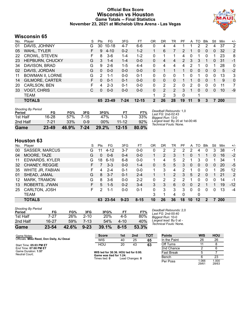### **Official Box Score Wisconsin vs Houston Game Totals -- Final Statistics November 23, 2021 at Michelob Ultra Arena - Las Vegas**



# **Wisconsin 65**

| No. | Player                  | S  | <b>Pts</b> | FG        | 3FG      | FT        | 0R | DR | TR             | PF             | A        | TO       | <b>B</b> lk | Stl          | Min | $+/-$          |
|-----|-------------------------|----|------------|-----------|----------|-----------|----|----|----------------|----------------|----------|----------|-------------|--------------|-----|----------------|
| 01  | DAVIS, JOHNNY           | G  | 30         | $10 - 18$ | 4-7      | $6-6$     | 0  | 4  | 4              |                |          | 2        |             | 4            | 37  | 2              |
| 05  | WAHL, TYLER             |    | 9          | $4 - 10$  | $0 - 2$  | $1 - 2$   |    | 6  |                | 2              |          | 0        | 0           | 0            | 32  | $\overline{2}$ |
| 22  | <b>CROWL, STEVEN</b>    | F  | 8          | $3-6$     | $1 - 4$  | $1 - 2$   | 0  | 1  |                | 4              | 0        |          |             |              | 23  | 8              |
| 23  | <b>HEPBURN, CHUCKY</b>  | G  | 3          | $1 - 4$   | $1 - 4$  | $0 - 0$   | 0  | 4  | 4              | $\overline{2}$ | 3        | 3        |             | 0            | 31  | -1             |
| 34  | DAVISON, BRAD           | G  | 9          | $2-6$     | $1-5$    | $4 - 4$   | 0  | 4  | 4              | 4              | 2        |          | 0           | 1            | 28  | 0              |
| 02  | DAVIS, JORDAN           | G  | $\Omega$   | $0 - 0$   | $0 - 0$  | $0 - 0$   | 0  | 1  |                |                | $\Omega$ | $\Omega$ | $\Omega$    | $\mathbf{0}$ | 5   | $-2$           |
| 11  | <b>BOWMAN II, LORNE</b> | G  | 2          | $1 - 1$   | $0 - 0$  | $0 - 1$   | 0  | 0  | 0              |                | 0        |          | 0           | 0            | 13  | 3              |
| 14  | <b>GILMORE, CARTER</b>  | F. | $\Omega$   | $0 - 1$   | $0 - 1$  | $0 - 0$   | 0  | 0  | 0              |                |          | 0        | 0           |              | 9   | $\mathbf 0$    |
| 20  | CARLSON, BEN            |    | 4          | $2 - 3$   | $0 - 1$  | $0 - 0$   | 0  | 2  | $\overline{2}$ | 0              | 2        | 0        |             | 0            | 11  |                |
| 33  | <b>VOGT, CHRIS</b>      | С  | $\Omega$   | $0 - 0$   | $0 - 0$  | $0-0$     | 0  | 2  | $\overline{2}$ | 3              |          | 0        | $\Omega$    | 0            | 10  | -9             |
|     | TEAM                    |    |            |           |          |           |    | 2  | 3              | 0              |          | -1       |             |              |     |                |
|     | <b>TOTALS</b>           |    | 65         | 23-49     | $7 - 24$ | $12 - 15$ | 2  | 26 | 28             | 19             | 11       | 9        | 3           |              | 200 |                |

| 2nd Half                            | 7-21      | 33% | 0-9  | $00\%$ | $11 - 12$ | 92% |
|-------------------------------------|-----------|-----|------|--------|-----------|-----|
| 1st Half                            | $16 - 28$ | 57% | 7-15 | 47%    | $1 - 3$   | 33% |
| <b>Shooting By Period</b><br>Period | FG        | FG% | 3FG  | 3FG%   | FT        | FT% |

*Deadball Rebounds:* 1,0 *Last FG:* 2nd-02:43 *Biggest Run:* 13-0 *Largest lead:* By 20 at 1st-00:46 *Technical Fouls:* None.

# **Houston 63**

| No. | Plaver                | S  | Pts | FG.      | 3FG      | FТ       | OR | DR | TR | PF       | A  | TO      | <b>B</b> lk | Stl | Min        | $+/-$ |
|-----|-----------------------|----|-----|----------|----------|----------|----|----|----|----------|----|---------|-------------|-----|------------|-------|
| 00  | <b>SASSER, MARCUS</b> | G  | 11  | $4 - 12$ | $3 - 7$  | $0 - 0$  | 0  | 2  | 2  | 2        | 2  | 4       | 0           | 3   | 38         | $-1$  |
| 04  | MOORE, TAZE           | G  | 0   | $0 - 6$  | $0 - 4$  | $0 - 0$  |    | 2  | 3  |          | 0  |         |             | 0   | 16         | $-2$  |
| 11  | <b>EDWARDS, KYLER</b> | G  | 18  | $6 - 10$ | $6 - 8$  | $0 - 0$  |    | 4  | 5  | 2        | 1  | 3       | $\Omega$    |     | 34         | 1.    |
| 32  | <b>CHANEY, REGGIE</b> | F. |     | $3 - 3$  | $0 - 0$  | $1 - 4$  | 0  | 5  | 5  | 3        | 0  | 0       | $\Omega$    | 0   | 20         | $-5$  |
| 35  | WHITE JR, FABIAN      | F  | 4   | $2 - 4$  | $0 - 1$  | $0 - 0$  |    | 3  | 4  | 2        |    | 0       | $\Omega$    |     | 26         | 12    |
| 01  | SHEAD, JAMAL          | G  | 8   | $3 - 7$  | $0 - 1$  | $2 - 4$  |    |    | 2  | 3        | 5  | 2       | $\Omega$    |     | 21         | 2     |
| 12  | MARK, TRAMON          | G  | 8   | $3-6$    | $0 - 0$  | $2 - 2$  | 0  | 2  | 2  | 2        | 1  | 0       | 0           | 0   | 14         | -1    |
| 13  | ROBERTS, J'WAN        | F  | 5   | $1 - 5$  | $0 - 2$  | $3 - 4$  | 3  | 3  | 6  | 0        | 0  | 2       |             |     | 19         | $-12$ |
| 25  | CARLTON, JOSH         | F  | 2   | 1-1      | $0-0$    | $0 - 1$  | 0  | 3  | 3  | 3        | 0  | 0       | 0           | 0   | 13         | -4    |
|     | <b>TEAM</b>           |    |     |          |          |          | 3  |    | 4  | $\Omega$ |    | 0       |             |     |            |       |
|     | <b>TOTALS</b>         |    |     | 63 23-54 | $9 - 23$ | $8 - 15$ | 10 | 26 | 36 | 18       | 10 | $12 \,$ | 2           |     | <b>200</b> |       |

| <b>Shooting By Period</b><br>Period | FG    | FG%   | 3FG      | 3FG%       | FТ       | FT%   |
|-------------------------------------|-------|-------|----------|------------|----------|-------|
| 1st Half                            | 7-27  | 26%   | $2 - 10$ | <b>20%</b> | 4-5      | 80%   |
| 2nd Half                            | 16-27 | 59%   | 7-13     | 54%        | 4-10     | 40%   |
| Game                                | 23-54 | 42.6% | $9 - 23$ | 39.1%      | $8 - 15$ | 53.3% |

*Deadball Rebounds:* 2,0 *Last FG:* 2nd-00:40 *Biggest Run:* 10-0 *Largest lead:* By 0 at - *Technical Fouls:* None.

| Game Notes:                               | <b>Score</b>                             | 1st | 2 <sub>nd</sub> | тот | <b>Points</b>     | <b>WIS</b>     | <b>HOU</b>     |
|-------------------------------------------|------------------------------------------|-----|-----------------|-----|-------------------|----------------|----------------|
| Officials: Mike Reed, Don Daily, AJ Desai | <b>WIS</b>                               | 40  | 25              | 65  | In the Paint      | 26             | 26             |
| Start Time: 05:03 PM ET                   | HOU                                      | 20  | 43              | 63  | Off Turns         |                |                |
| End Time: 07:00 PM ET                     |                                          |     |                 |     | 2nd Chance        |                |                |
| Game Duration: 1:57<br>Neutral Court:     | WIS led for 38:36. HOU led for 0:00.     |     |                 |     | <b>Fast Break</b> |                |                |
|                                           | Game was tied for 1:24.<br>Times tied: 0 |     | Lead Changes: 0 |     | Bench             |                | 23             |
|                                           |                                          |     |                 |     | Per Poss          | 1.066<br>29/61 | 1.000<br>28/63 |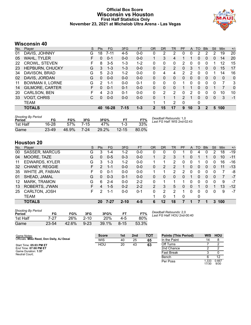### **Official Box Score Wisconsin vs Houston First Half Statistics Only November 23, 2021 at Michelob Ultra Arena - Las Vegas**



# **Wisconsin 40**

| No. | Player                  | S | <b>Pts</b> | <b>FG</b> | 3FG      | <b>FT</b> | <b>OR</b> | <b>DR</b> | <b>TR</b>      | PF            | A  | TO | <b>B</b> lk | Stl          | Min | $+/-$ |
|-----|-------------------------|---|------------|-----------|----------|-----------|-----------|-----------|----------------|---------------|----|----|-------------|--------------|-----|-------|
| 01  | DAVIS, JOHNNY           | G | 18         | 7-11      | $4-5$    | $0 - 0$   | 0         | 2         | 2              | 0             | 0  | 2  |             | 2            | 19  | 20    |
| 05  | WAHL, TYLER             | F | 0          | $0 - 1$   | $0 - 0$  | $0 - 0$   |           | 3         | 4              |               |    | 0  | 0           | 0            | 14  | 20    |
| 22  | <b>CROWL, STEVEN</b>    | F | 8          | $3-5$     | 1-3      | 1-2       | 0         | 0         | 0              | 2             | O  | 0  |             |              | 12  | 15    |
| 23  | <b>HEPBURN, CHUCKY</b>  | G | 3          | $1 - 3$   | $1 - 3$  | $0 - 0$   | 0         | 2         | $\overline{2}$ | 0             | 3  |    | 0           | 0            | 15  | 17    |
| 34  | DAVISON, BRAD           | G | 5          | $2 - 3$   | $1 - 2$  | $0 - 0$   | 0         | 4         | 4              | 2             | 2  | 0  | 0           |              | 14  | 16    |
| 02  | DAVIS, JORDAN           | G | 0          | $0 - 0$   | $0 - 0$  | $0 - 0$   | 0         | 0         | 0              | 0             | 0  | 0  | $\Omega$    | 0            | 0   | 0     |
| 11  | <b>BOWMAN II, LORNE</b> | G | 2          | 1-1       | $0 - 0$  | $0 - 1$   | 0         | 0         | 0              |               | 0  | 0  | 0           | 0            | 7   | 3     |
| 14  | <b>GILMORE, CARTER</b>  | F | 0          | $0 - 1$   | $0 - 1$  | $0 - 0$   | 0         | 0         | 0              |               |    | 0  | $\Omega$    |              | 7   | 0     |
| 20  | CARLSON, BEN            |   | 4          | 2-3       | $0 - 1$  | $0 - 0$   | 0         | 2         | 2              | 0             | 2  | 0  | 0           | 0            | 10  | 10    |
| 33  | <b>VOGT, CHRIS</b>      | С | 0          | $0 - 0$   | $0 - 0$  | $0 - 0$   | 0         | 1         | $\mathbf{1}$   | $\mathcal{P}$ | 1  | 0  | 0           | $\mathbf{0}$ | 3   | -1    |
|     | TEAM                    |   |            |           |          |           |           | 1         | 2              | 0             |    | 0  |             |              |     |       |
|     | <b>TOTALS</b>           |   | 40         | 16-28     | $7 - 15$ | $1 - 3$   | 2         | 15        | 17             | 9             | 10 | 3  | 2           | 5.           | 100 |       |
|     |                         |   |            |           |          |           |           |           |                |               |    |    |             |              |     |       |

| Shooting By Period<br>Period | FG    | FG%   | 3FG  | 3FG%  | F1        | FT%   | Deadball Rebounds: 1,0<br>Last FG Half: WIS 2nd-02:43 |
|------------------------------|-------|-------|------|-------|-----------|-------|-------------------------------------------------------|
| 1st Half                     | 16-28 | 57%   | 7-15 | 47%   | $1 - 3$   | 33%   |                                                       |
| Game                         | 23-49 | 46.9% | 7-24 | 29.2% | $12 - 15$ | 80.0% |                                                       |

# **Houston 20**

| No. | Player                | S  | <b>Pts</b>    | <b>FG</b> | 3FG      | <b>FT</b> | <b>OR</b>      | <b>DR</b> | TR | <b>PF</b> | A | TO | <b>Blk</b> | Stl | <b>Min</b> | $+/-$ |
|-----|-----------------------|----|---------------|-----------|----------|-----------|----------------|-----------|----|-----------|---|----|------------|-----|------------|-------|
| 00  | SASSER, MARCUS        | G  | 3             | $1 - 4$   | $1 - 2$  | $0 - 0$   | 0              |           |    |           | 0 | 4  |            | 2   | 18         | $-19$ |
| 04  | MOORE, TAZE           | G  | 0             | $0 - 5$   | $0 - 3$  | $0-0$     |                | 2         | 3  |           | 0 |    |            | 0   | 10         | $-11$ |
| 11  | <b>EDWARDS, KYLER</b> | G  | 3             | 1-3       | $1 - 2$  | $0-0$     |                | 4         | 2  | 0         | 0 |    |            | 0   | 16         | -16   |
| 32  | <b>CHANEY, REGGIE</b> | F. | $\mathcal{P}$ | $1 - 1$   | $0 - 0$  | $0 - 0$   | 0              | 2         | 2  |           | 0 | 0  | 0          | 0   | 11         | $-13$ |
| 35  | WHITE JR, FABIAN      | F  | 0             | $0 - 1$   | $0 - 0$  | $0-0$     |                | и         | 2  | 2         | 0 | 0  | 0          | 0   |            | -8    |
| 01  | SHEAD, JAMAL          | G  | 0             | $0 - 3$   | $0 - 1$  | $0 - 0$   | 0              | 0         | 0  | 0         |   | 0  | 0          | 0   |            | -7    |
| 12  | MARK, TRAMON          | G  | 6             | $2 - 4$   | $0 - 0$  | $2 - 2$   | 0              | 1         |    |           | 0 | 0  |            | 0   | 9          | $-7$  |
| 13  | ROBERTS, J'WAN        | F  | 4             | $1 - 5$   | $0 - 2$  | $2 - 2$   | $\overline{2}$ | 3         | 5. | 0         | 0 |    |            | 1   | 13         | $-12$ |
| 25  | CARLTON, JOSH         | F  | 2             | 1-1       | $0 - 0$  | $0 - 1$   | 0              | 2         | 2  |           | 0 | 0  | 0          | 0   | 9          | $-7$  |
|     | <b>TEAM</b>           |    |               |           |          |           |                | 0         | 1  | 0         |   | 0  |            |     |            |       |
|     | <b>TOTALS</b>         |    | 20            | 7-27      | $2 - 10$ | $4 - 5$   | 6              | 12        | 18 |           |   |    |            |     | 3 100      |       |
|     |                       |    |               |           |          |           |                |           |    |           |   |    |            |     |            |       |

| <b>Shooting By Period</b> |       |       |          |            |          |       |
|---------------------------|-------|-------|----------|------------|----------|-------|
| Period                    | FG    | FG%   | 3FG      | 3FG%       |          | FT%   |
| 1st Half                  | 7.27  | 26%   | $2 - 10$ | <b>20%</b> | 4-5      | 80%   |
| Game                      | 23-54 | 42.6% | $9 - 23$ | 39.1%      | $8 - 15$ | 53.3% |

*Deadball Rebounds:* 2,0 *Last FG Half:* HOU 2nd-00:40

17/30 0.667 9/30

| Game Notes:                               | <b>Score</b> | 1st | 2 <sub>nd</sub> | <b>TOT</b> | <b>Points (This Period)</b> | <b>WIS</b> | <b>HOU</b> |
|-------------------------------------------|--------------|-----|-----------------|------------|-----------------------------|------------|------------|
| Officials: Mike Reed, Don Daily, AJ Desai | <b>WIS</b>   | 40  | 25              | 65         | In the Paint                |            |            |
| Start Time: 05:03 PM ET                   | HOU          | 20  | 43              | 63         | Off Turns                   |            |            |
| End Time: 07:00 PM ET                     |              |     |                 |            | 2nd Chance                  |            |            |
| Game Duration: 1:57<br>Neutral Court:     |              |     |                 |            | <b>Fast Break</b>           |            |            |
|                                           |              |     |                 |            | Bench                       |            | 12         |
|                                           |              |     |                 |            | Per Poss                    | .333       | 0.667      |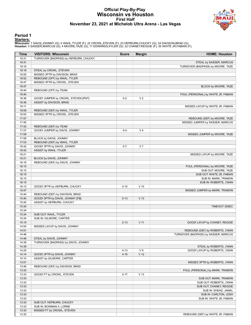#### **Official Play-By-Play Wisconsin vs Houston First Half November 23, 2021 at Michelob Ultra Arena - Las Vegas**



#### **Period 1**

<mark>Starters:</mark><br>Wisconsin: 1 DAVIS,JOHNNY (G); 5 WAHL,TYLER (F); 22 CROWL,STEVEN (F); 23 HEPBURN,CHUCKY (G); 34 DAVISON,BRAD (G);<br>Houston: 0 SASSER,MARCUS (G); 4 MOORE,TAZE (G); 11 EDWARDS,KYLER (G); 32 CHANEY,REGGIE (F); 35 W

| Time           | <b>VISITORS: Wisconsin</b>                             | <b>Score</b> | <b>Margin</b>   | <b>HOME: Houston</b>                 |
|----------------|--------------------------------------------------------|--------------|-----------------|--------------------------------------|
| 19:31          | TURNOVER (BADPASS) by HEPBURN, CHUCKY                  |              |                 |                                      |
| 19:31          |                                                        |              |                 | STEAL by SASSER, MARCUS              |
| 19:18          |                                                        |              |                 | TURNOVER (BADPASS) by MOORE, TAZE    |
| 19:18          | STEAL by CROWL, STEVEN                                 |              |                 |                                      |
| 18:55          | MISSED 3PTR by DAVISON, BRAD                           |              |                 |                                      |
| 18:52          | REBOUND (OFF) by WAHL, TYLER                           |              |                 |                                      |
| 18:47          | MISSED 3PTR by CROWL, STEVEN                           |              |                 |                                      |
| 18:47          |                                                        |              |                 | BLOCK by MOORE, TAZE                 |
| 18:44          | REBOUND (OFF) by TEAM                                  |              |                 |                                      |
| 18:40          |                                                        |              |                 | FOUL (PERSONAL) by WHITE JR, FABIAN  |
| 18:36          | GOOD! JUMPER by CROWL, STEVEN [PNT]                    | $0-2$        | V <sub>2</sub>  |                                      |
| 18:36          | ASSIST by DAVISON, BRAD                                |              |                 |                                      |
| 18:11          |                                                        |              |                 | MISSED LAYUP by WHITE JR, FABIAN     |
| 18:08          | REBOUND (DEF) by WAHL, TYLER                           |              |                 |                                      |
| 18:02          | MISSED 3PTR by CROWL, STEVEN                           |              |                 |                                      |
| 17:57          |                                                        |              |                 | REBOUND (DEF) by MOORE, TAZE         |
| 17:45          |                                                        |              |                 | MISSED JUMPER by SASSER, MARCUS      |
| 17:42          | REBOUND (DEF) by TEAM                                  |              |                 |                                      |
| 17:27          | GOOD! JUMPER by DAVIS, JOHNNY                          | $0 - 4$      | V <sub>4</sub>  |                                      |
| 17:08<br>17:08 |                                                        |              |                 | MISSED JUMPER by MOORE, TAZE         |
| 17:03          | BLOCK by DAVIS, JOHNNY<br>REBOUND (DEF) by WAHL, TYLER |              |                 |                                      |
| 16:42          |                                                        | $0 - 7$      | V <sub>7</sub>  |                                      |
| 16:42          | GOOD! 3PTR by DAVIS, JOHNNY                            |              |                 |                                      |
| 16:21          | ASSIST by WAHL, TYLER                                  |              |                 |                                      |
| 16:21          | BLOCK by DAVIS, JOHNNY                                 |              |                 | MISSED LAYUP by MOORE, TAZE          |
| 16:16          | REBOUND (DEF) by DAVIS, JOHNNY                         |              |                 |                                      |
| 16:15          |                                                        |              |                 | FOUL (PERSONAL) by MOORE, TAZE       |
| 16:15          |                                                        |              |                 | SUB OUT: MOORE, TAZE                 |
| 16:15          |                                                        |              |                 | SUB OUT: WHITE JR, FABIAN            |
| 16:15          |                                                        |              |                 | SUB IN: MARK, TRAMON                 |
| 16:15          |                                                        |              |                 | SUB IN: ROBERTS, J'WAN               |
| 16:13          | GOOD! 3PTR by HEPBURN, CHUCKY                          | $0 - 10$     | $V$ 10          |                                      |
| 15:47          |                                                        |              |                 | MISSED JUMPER by MARK, TRAMON        |
| 15:44          | REBOUND (DEF) by DAVISON, BRAD                         |              |                 |                                      |
| 15:40          | GOOD! 3PTR by DAVIS, JOHNNY [FB]                       | $0 - 13$     | V <sub>13</sub> |                                      |
| 15:40          | ASSIST by HEPBURN, CHUCKY                              |              |                 |                                      |
| 15:34          |                                                        |              |                 | TIMEOUT 30SEC                        |
| 15:34          |                                                        |              |                 |                                      |
| 15:34          | SUB OUT: WAHL, TYLER                                   |              |                 |                                      |
| 15:34          | SUB IN: GILMORE, CARTER                                |              |                 |                                      |
| 15:19          |                                                        | $2 - 13$     | V <sub>11</sub> | GOOD! LAYUP by CHANEY, REGGIE        |
| 14:54          | MISSED LAYUP by DAVIS, JOHNNY                          |              |                 |                                      |
| 14:51          |                                                        |              |                 | REBOUND (DEF) by ROBERTS, J'WAN      |
| 14:46          |                                                        |              |                 | TURNOVER (BADPASS) by SASSER, MARCUS |
| 14:46          | STEAL by DAVIS, JOHNNY                                 |              |                 |                                      |
| 14:39          | TURNOVER (BADPASS) by DAVIS, JOHNNY                    |              |                 |                                      |
| 14:39          |                                                        |              |                 | STEAL by ROBERTS, J'WAN              |
| 14:25          |                                                        | $4 - 13$     | V <sub>9</sub>  | GOOD! LAYUP by ROBERTS, J'WAN        |
| 14:14          | GOOD! 3PTR by DAVIS, JOHNNY                            | $4 - 16$     | V <sub>12</sub> |                                      |
| 14:14          | ASSIST by GILMORE, CARTER                              |              |                 |                                      |
| 13:51          |                                                        |              |                 | MISSED 3PTR by ROBERTS, J'WAN        |
| 13:46          | REBOUND (DEF) by DAVISON, BRAD                         |              |                 |                                      |
| 13:33          |                                                        |              |                 | FOUL (PERSONAL) by MARK, TRAMON      |
| 13:33          | GOOD! FT by CROWL, STEVEN                              | $4 - 17$     | V <sub>13</sub> |                                      |
| 13:33          |                                                        |              |                 | SUB OUT: MARK, TRAMON                |
| 13:33          |                                                        |              |                 | SUB OUT: ROBERTS, J'WAN              |
| 13:33          |                                                        |              |                 | SUB OUT: CHANEY, REGGIE              |
| 13:33          |                                                        |              |                 | SUB IN: SHEAD, JAMAL                 |
| 13:33          |                                                        |              |                 | SUB IN: CARLTON, JOSH                |
| 13:33          |                                                        |              |                 | SUB IN: WHITE JR, FABIAN             |
| 13:33          | SUB OUT: HEPBURN, CHUCKY                               |              |                 |                                      |
| 13:33          | SUB IN: BOWMAN II, LORNE                               |              |                 |                                      |
| 13:33          | MISSED FT by CROWL, STEVEN                             |              |                 |                                      |
| 13:32          |                                                        |              |                 | REBOUND (DEF) by WHITE JR, FABIAN    |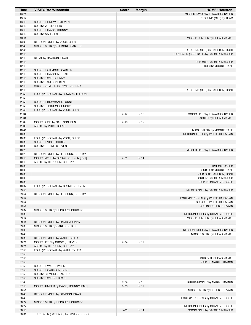| <b>Time</b>    | <b>VISITORS: Wisconsin</b>                                  | <b>Score</b>         | <b>Margin</b>           | <b>HOME: Houston</b>                             |
|----------------|-------------------------------------------------------------|----------------------|-------------------------|--------------------------------------------------|
| 13:21          |                                                             |                      |                         | MISSED LAYUP by EDWARDS, KYLER                   |
| 13:17          |                                                             |                      |                         | REBOUND (OFF) by TEAM                            |
| 13:16<br>13:16 | SUB OUT: CROWL, STEVEN<br>SUB IN: VOGT, CHRIS               |                      |                         |                                                  |
| 13:16          | SUB OUT: DAVIS, JOHNNY                                      |                      |                         |                                                  |
| 13:16          | SUB IN: WAHL, TYLER                                         |                      |                         |                                                  |
| 13:11          |                                                             |                      |                         | MISSED JUMPER by SHEAD, JAMAL                    |
| 13:08          | REBOUND (DEF) by VOGT, CHRIS                                |                      |                         |                                                  |
| 12:49          | MISSED 3PTR by GILMORE, CARTER                              |                      |                         |                                                  |
| 12:45          |                                                             |                      |                         | REBOUND (DEF) by CARLTON, JOSH                   |
| 12:16          |                                                             |                      |                         | TURNOVER (LOSTBALL) by SASSER, MARCUS            |
| 12:16          | STEAL by DAVISON, BRAD                                      |                      |                         |                                                  |
| 12:16<br>12:16 |                                                             |                      |                         | SUB OUT: SASSER, MARCUS<br>SUB IN: MOORE, TAZE   |
| 12:16          | SUB OUT: GILMORE, CARTER                                    |                      |                         |                                                  |
| 12:16          | SUB OUT: DAVISON, BRAD                                      |                      |                         |                                                  |
| 12:16          | SUB IN: DAVIS, JOHNNY                                       |                      |                         |                                                  |
| 12:16          | SUB IN: CARLSON, BEN                                        |                      |                         |                                                  |
| 12:13          | MISSED JUMPER by DAVIS, JOHNNY                              |                      |                         |                                                  |
| 12:10          |                                                             |                      |                         | REBOUND (DEF) by CARLTON, JOSH                   |
| 11:56          | FOUL (PERSONAL) by BOWMAN II, LORNE                         |                      |                         |                                                  |
| 11:56<br>11:56 | SUB OUT: BOWMAN II, LORNE                                   |                      |                         |                                                  |
| 11:56          | SUB IN: HEPBURN, CHUCKY                                     |                      |                         |                                                  |
| 11:45          | FOUL (PERSONAL) by VOGT, CHRIS                              |                      |                         |                                                  |
| 11:34          |                                                             | $7 - 17$             | $V$ 10                  | GOOD! 3PTR by EDWARDS, KYLER                     |
| 11:34          |                                                             |                      |                         | ASSIST by SHEAD, JAMAL                           |
| 11:09          | GOOD! DUNK by CARLSON, BEN                                  | $7 - 19$             | V <sub>12</sub>         |                                                  |
| 11:09          | ASSIST by VOGT, CHRIS                                       |                      |                         |                                                  |
| 10:41          |                                                             |                      |                         | MISSED 3PTR by MOORE, TAZE                       |
| 10:38          |                                                             |                      |                         | REBOUND (OFF) by WHITE JR, FABIAN                |
| 10:38<br>10:38 | FOUL (PERSONAL) by VOGT, CHRIS<br>SUB OUT: VOGT, CHRIS      |                      |                         |                                                  |
| 10:38          | SUB IN: CROWL, STEVEN                                       |                      |                         |                                                  |
| 10:26          |                                                             |                      |                         | MISSED 3PTR by EDWARDS, KYLER                    |
| 10:23          | REBOUND (DEF) by HEPBURN, CHUCKY                            |                      |                         |                                                  |
| 10:16          | GOOD! LAYUP by CROWL, STEVEN [PNT]                          | $7 - 21$             | V <sub>14</sub>         |                                                  |
| 10:16          | ASSIST by HEPBURN, CHUCKY                                   |                      |                         |                                                  |
| 10:08          |                                                             |                      |                         | TIMEOUT 30SEC                                    |
| 10:08          |                                                             |                      |                         | SUB OUT: MOORE, TAZE                             |
| 10:08<br>10:08 |                                                             |                      |                         | SUB OUT: CARLTON, JOSH<br>SUB IN: SASSER, MARCUS |
| 10:08          |                                                             |                      |                         | SUB IN: CHANEY, REGGIE                           |
| 10:02          | FOUL (PERSONAL) by CROWL, STEVEN                            |                      |                         |                                                  |
| 09:56          |                                                             |                      |                         | MISSED 3PTR by SASSER, MARCUS                    |
| 09:54          | REBOUND (DEF) by HEPBURN, CHUCKY                            |                      |                         |                                                  |
| 09:54          |                                                             |                      |                         | FOUL (PERSONAL) by WHITE JR, FABIAN              |
| 09:54          |                                                             |                      |                         | SUB OUT: WHITE JR, FABIAN                        |
| 09:54          |                                                             |                      |                         | SUB IN: ROBERTS, J'WAN                           |
| 09:37<br>09:33 | MISSED 3PTR by HEPBURN, CHUCKY                              |                      |                         | REBOUND (DEF) by CHANEY, REGGIE                  |
| 09:14          |                                                             |                      |                         | MISSED JUMPER by SHEAD, JAMAL                    |
| 09:11          | REBOUND (DEF) by DAVIS, JOHNNY                              |                      |                         |                                                  |
| 09:03          | MISSED 3PTR by CARLSON, BEN                                 |                      |                         |                                                  |
| 09:00          |                                                             |                      |                         | REBOUND (DEF) by EDWARDS, KYLER                  |
| 08:43          |                                                             |                      |                         | MISSED 3PTR by SHEAD, JAMAL                      |
| 08:39          | REBOUND (DEF) by WAHL, TYLER                                |                      |                         |                                                  |
| 08:21          | GOOD! 3PTR by CROWL, STEVEN                                 | $7 - 24$             | V 17                    |                                                  |
| 08:21<br>07:58 | ASSIST by HEPBURN, CHUCKY<br>FOUL (PERSONAL) by WAHL, TYLER |                      |                         |                                                  |
| 07:58          |                                                             |                      |                         |                                                  |
| 07:58          |                                                             |                      |                         | SUB OUT: SHEAD, JAMAL                            |
| 07:58          |                                                             |                      |                         | SUB IN: MARK, TRAMON                             |
| 07:58          | SUB OUT: WAHL, TYLER                                        |                      |                         |                                                  |
| 07:58          | SUB OUT: CARLSON, BEN                                       |                      |                         |                                                  |
| 07:58          | SUB IN: GILMORE, CARTER                                     |                      |                         |                                                  |
| 07:58          | SUB IN: DAVISON, BRAD                                       |                      |                         |                                                  |
| 07:46<br>07:18 | GOOD! JUMPER by DAVIS, JOHNNY [PNT]                         | $9 - 24$<br>$9 - 26$ | V <sub>15</sub><br>V 17 | GOOD! JUMPER by MARK, TRAMON                     |
| 06:51          |                                                             |                      |                         | MISSED 3PTR by ROBERTS, J'WAN                    |
| 06:48          | REBOUND (DEF) by DAVISON, BRAD                              |                      |                         |                                                  |
| 06:48          |                                                             |                      |                         | FOUL (PERSONAL) by CHANEY, REGGIE                |
| 06:27          | MISSED 3PTR by HEPBURN, CHUCKY                              |                      |                         |                                                  |
| 06:22          |                                                             |                      |                         | REBOUND (DEF) by CHANEY, REGGIE                  |
| 06:16          |                                                             | $12 - 26$            | V <sub>14</sub>         | GOOD! 3PTR by SASSER, MARCUS                     |
| 06:01          | TURNOVER (BADPASS) by DAVIS, JOHNNY                         |                      |                         |                                                  |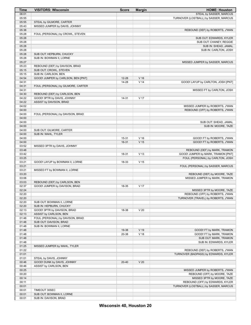| Time           | <b>VISITORS: Wisconsin</b>                                   | <b>Score</b> | <b>Margin</b>   | <b>HOME: Houston</b>                                          |
|----------------|--------------------------------------------------------------|--------------|-----------------|---------------------------------------------------------------|
| 06:01          |                                                              |              |                 | STEAL by SASSER, MARCUS                                       |
| 05:55          |                                                              |              |                 | TURNOVER (LOSTBALL) by SASSER, MARCUS                         |
| 05:55          | STEAL by GILMORE, CARTER                                     |              |                 |                                                               |
| 05:43          | MISSED JUMPER by DAVIS, JOHNNY                               |              |                 |                                                               |
| 05:38          |                                                              |              |                 | REBOUND (DEF) by ROBERTS, J'WAN                               |
| 05:28<br>05:28 | FOUL (PERSONAL) by CROWL, STEVEN                             |              |                 | SUB OUT: EDWARDS, KYLER                                       |
| 05:28          |                                                              |              |                 | SUB OUT: CHANEY, REGGIE                                       |
| 05:28          |                                                              |              |                 | SUB IN: SHEAD, JAMAL                                          |
| 05:28          |                                                              |              |                 | SUB IN: CARLTON, JOSH                                         |
| 05:28          | SUB OUT: HEPBURN, CHUCKY                                     |              |                 |                                                               |
| 05:28          | SUB IN: BOWMAN II, LORNE                                     |              |                 |                                                               |
| 05:27          |                                                              |              |                 | MISSED JUMPER by SASSER, MARCUS                               |
| 05:23          | REBOUND (DEF) by DAVISON, BRAD                               |              |                 |                                                               |
| 05:15          | SUB OUT: CROWL, STEVEN                                       |              |                 |                                                               |
| 05:15          | SUB IN: CARLSON, BEN                                         |              |                 |                                                               |
| 04:54          | GOOD! JUMPER by CARLSON, BEN [PNT]                           | $12 - 28$    | V <sub>16</sub> |                                                               |
| 04:31          |                                                              | 14-28        | V <sub>14</sub> | GOOD! LAYUP by CARLTON, JOSH [PNT]                            |
| 04:31          | FOUL (PERSONAL) by GILMORE, CARTER                           |              |                 |                                                               |
| 04:31          |                                                              |              |                 | MISSED FT by CARLTON, JOSH                                    |
| 04:30<br>04:22 | REBOUND (DEF) by CARLSON, BEN                                |              |                 |                                                               |
| 04:22          | GOOD! 3PTR by DAVIS, JOHNNY<br>ASSIST by DAVISON, BRAD       | 14-31        | V <sub>17</sub> |                                                               |
| 04:02          |                                                              |              |                 | MISSED JUMPER by ROBERTS, J'WAN                               |
| 04:00          |                                                              |              |                 | REBOUND (OFF) by ROBERTS, J'WAN                               |
| 04:00          | FOUL (PERSONAL) by DAVISON, BRAD                             |              |                 |                                                               |
| 04:00          |                                                              |              |                 |                                                               |
| 04:00          |                                                              |              |                 | SUB OUT: SHEAD, JAMAL                                         |
| 04:00          |                                                              |              |                 | SUB IN: MOORE, TAZE                                           |
| 04:00          | SUB OUT: GILMORE, CARTER                                     |              |                 |                                                               |
| 04:00          | SUB IN: WAHL, TYLER                                          |              |                 |                                                               |
| 04:00          |                                                              | 15-31        | V <sub>16</sub> | GOOD! FT by ROBERTS, J'WAN                                    |
| 04:00          |                                                              | $16 - 31$    | V <sub>15</sub> | GOOD! FT by ROBERTS, J'WAN                                    |
| 03:52          | MISSED 3PTR by DAVIS, JOHNNY                                 |              |                 |                                                               |
| 03:48          |                                                              |              |                 | REBOUND (DEF) by MARK, TRAMON                                 |
| 03:42          |                                                              | 18-31        | V <sub>13</sub> | GOOD! JUMPER by MARK, TRAMON [PNT]                            |
| 03:25<br>03:21 | GOOD! LAYUP by BOWMAN II, LORNE                              | 18-33        | V <sub>15</sub> | FOUL (PERSONAL) by CARLTON, JOSH                              |
| 03:21          |                                                              |              |                 | FOUL (PERSONAL) by SASSER, MARCUS                             |
| 03:21          | MISSED FT by BOWMAN II, LORNE                                |              |                 |                                                               |
| 03:20          |                                                              |              |                 | REBOUND (DEF) by MOORE, TAZE                                  |
| 03:06          |                                                              |              |                 | MISSED JUMPER by MARK, TRAMON                                 |
| 03:03          | REBOUND (DEF) by CARLSON, BEN                                |              |                 |                                                               |
| 02:37          | GOOD! JUMPER by DAVISON, BRAD                                | 18-35        | V <sub>17</sub> |                                                               |
| 02:24          |                                                              |              |                 | MISSED 3PTR by MOORE, TAZE                                    |
| 02:20          |                                                              |              |                 | REBOUND (OFF) by ROBERTS, J'WAN                               |
| 02:20          |                                                              |              |                 | TURNOVER (TRAVEL) by ROBERTS, J'WAN                           |
| 02:20          | SUB OUT: BOWMAN II, LORNE                                    |              |                 |                                                               |
| 02:20          | SUB IN: HEPBURN, CHUCKY                                      |              |                 |                                                               |
| 02:13<br>02:13 | GOOD! 3PTR by DAVISON, BRAD<br><b>ASSIST by CARLSON, BEN</b> | 18-38        | V <sub>20</sub> |                                                               |
| 01:48          | FOUL (PERSONAL) by DAVISON, BRAD                             |              |                 |                                                               |
| 01:48          | SUB OUT: DAVISON, BRAD                                       |              |                 |                                                               |
| 01:48          | SUB IN: BOWMAN II, LORNE                                     |              |                 |                                                               |
| 01:48          |                                                              | 19-38        | $V$ 19          | GOOD! FT by MARK, TRAMON                                      |
| 01:48          |                                                              | 20-38        | V <sub>18</sub> | GOOD! FT by MARK, TRAMON                                      |
| 01:48          |                                                              |              |                 | SUB OUT: MARK, TRAMON                                         |
| 01:48          |                                                              |              |                 | SUB IN: EDWARDS, KYLER                                        |
| 01:25          | MISSED JUMPER by WAHL, TYLER                                 |              |                 |                                                               |
| 01:22          |                                                              |              |                 | REBOUND (DEF) by ROBERTS, J'WAN                               |
| 01:01          |                                                              |              |                 | TURNOVER (BADPASS) by EDWARDS, KYLER                          |
| 01:01          | STEAL by DAVIS, JOHNNY                                       |              |                 |                                                               |
| 00:46          | GOOD! DUNK by DAVIS, JOHNNY                                  | $20 - 40$    | V <sub>20</sub> |                                                               |
| 00:46          | ASSIST by CARLSON, BEN                                       |              |                 |                                                               |
| 00:25          |                                                              |              |                 | MISSED JUMPER by ROBERTS, J'WAN                               |
| 00:20          |                                                              |              |                 | REBOUND (OFF) by MOORE, TAZE                                  |
| 00:14          |                                                              |              |                 | MISSED 3PTR by MOORE, TAZE<br>REBOUND (OFF) by EDWARDS, KYLER |
| 00:11<br>00:01 |                                                              |              |                 | TURNOVER (LOSTBALL) by SASSER, MARCUS                         |
| 00:01          | TIMEOUT 30SEC                                                |              |                 |                                                               |
| 00:01          | SUB OUT: BOWMAN II, LORNE                                    |              |                 |                                                               |
| 00:01          | SUB IN: DAVISON, BRAD                                        |              |                 |                                                               |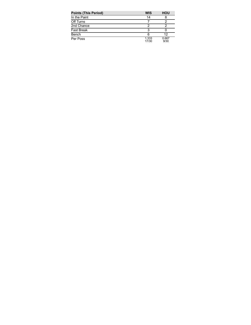| <b>Points (This Period)</b> | <b>WIS</b>     | <b>HOU</b>    |
|-----------------------------|----------------|---------------|
| In the Paint                | 14             |               |
| Off Turns                   |                |               |
| 2nd Chance                  |                |               |
| <b>Fast Break</b>           |                |               |
| Bench                       |                | 12            |
| Per Poss                    | 1.333<br>17/30 | 0.667<br>9/30 |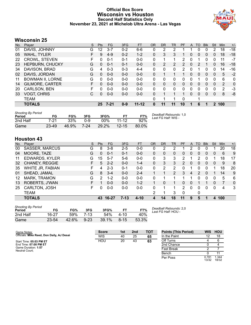### **Official Box Score Wisconsin vs Houston Second Half Statistics Only November 23, 2021 at Michelob Ultra Arena - Las Vegas**



## **Wisconsin 25**

| No. | Plaver                  | S  | <b>Pts</b> | FG       | 3FG     | <b>FT</b> | <b>OR</b> | <b>DR</b> | TR       | PF             | A        | TO | <b>Blk</b> | Stl | Min | $+/-$    |
|-----|-------------------------|----|------------|----------|---------|-----------|-----------|-----------|----------|----------------|----------|----|------------|-----|-----|----------|
| 01  | DAVIS, JOHNNY           | G  | 12         | $3 - 7$  | $0 - 2$ | $6-6$     | 0         | 2         | 2        |                |          | 0  | 0          | 2   | 18  | $-18$    |
| 05  | WAHL, TYLER             | F  | 9          | $4-9$    | $0 - 2$ | $1 - 2$   | 0         | 3         | 3        |                | 0        | 0  | 0          | 0   | 18  | $-18$    |
| 22  | <b>CROWL, STEVEN</b>    | F  | 0          | $0 - 1$  | $0 - 1$ | $0 - 0$   | 0         |           |          | $\overline{2}$ | 0        |    | 0          | 0   | 11  | $-7$     |
| 23  | <b>HEPBURN, CHUCKY</b>  | G  | 0          | $0 - 1$  | $0 - 1$ | $0-0$     | $\Omega$  | 2         | 2        | $\mathcal{P}$  | $\Omega$ | 2  |            | 0   | 16  | $-18$    |
| 34  | DAVISON, BRAD           | G  | 4          | $0 - 3$  | $0 - 3$ | $4 - 4$   | $\Omega$  | 0         | 0        | 2              | $\Omega$ |    | 0          | 0   | 14  | $-16$    |
| 02  | DAVIS, JORDAN           | G  | 0          | $0 - 0$  | $0 - 0$ | $0 - 0$   | 0         |           |          |                | 0        | 0  | $\Omega$   | 0   | 5   | $-2$     |
| 11  | <b>BOWMAN II, LORNE</b> | G  | 0          | $0 - 0$  | $0 - 0$ | $0-0$     | 0         | 0         | 0        | 0              | 0        |    | 0          | 0   | 6   | 0        |
| 14  | <b>GILMORE, CARTER</b>  | F. | 0          | $0 - 0$  | $0 - 0$ | $0 - 0$   | 0         | 0         | $\Omega$ | 0              | 0        | 0  | $\Omega$   | 0   | 2   | $\Omega$ |
| 20  | CARLSON, BEN            |    | 0          | $0 - 0$  | $0 - 0$ | $0 - 0$   | 0         | 0         | 0        | 0              | 0        | 0  | 0          | 0   | 2   | -3       |
| 33  | <b>VOGT, CHRIS</b>      | С  | 0          | $0 - 0$  | $0 - 0$ | $0 - 0$   | 0         |           |          |                | 0        | 0  | 0          | 0   | 8   | -8       |
|     | TEAM                    |    |            |          |         |           | $\Omega$  | 1         |          | $\Omega$       |          | ◢  |            |     |     |          |
|     | <b>TOTALS</b>           |    | 25         | $7 - 21$ | $0 - 9$ | $11 - 12$ | 0         | 11        | 11       | 10             | п        | 6  |            | 2   | 100 |          |

| <b>Shooting By Period</b><br>Period | FG        | FG%   | 3FG  | 3FG%  |           | FT%      | Deadball Rebounds: 1,0<br>Last FG Half: WIS - |
|-------------------------------------|-----------|-------|------|-------|-----------|----------|-----------------------------------------------|
| 2nd Half                            | 7-21      | 33%   | 0-9  | በበ%   | $11 - 12$ | 92%      |                                               |
| Game                                | $23 - 49$ | 46.9% | 7-24 | 29.2% | $12 - 15$ | $80.0\%$ |                                               |

# **Houston 43**

| No. | Plaver                | S | <b>Pts</b>    | <b>FG</b> | 3FG      | <b>FT</b> | OR | DR | TR                    | PF            | A        | TO | <b>Blk</b>   | Stl      | Min | $+/-$        |
|-----|-----------------------|---|---------------|-----------|----------|-----------|----|----|-----------------------|---------------|----------|----|--------------|----------|-----|--------------|
| 00  | <b>SASSER, MARCUS</b> | G | 8             | $3 - 8$   | $2 - 5$  | $0 - 0$   | 0  | 2  | 2                     |               | 2        | 0  | 0            |          | 20  | 18           |
| 04  | MOORE, TAZE           | G | 0             | $0 - 1$   | $0 - 1$  | $0 - 0$   | 0  | 0  | 0                     | 0             | $\Omega$ | 0  | $\mathbf{0}$ | 0        | 6   | 9            |
| 11  | <b>EDWARDS, KYLER</b> | G | 15            | $5 - 7$   | $5-6$    | $0 - 0$   | 0  | 3  | 3                     | 2             |          | 2  | 0            |          | 18  | 17           |
| 32  | <b>CHANEY, REGGIE</b> | F | 5             | $2 - 2$   | $0 - 0$  | $1 - 4$   | 0  | 3  | 3                     | $\mathcal{P}$ | $\Omega$ | 0  | $\Omega$     | 0        | 9   | 8            |
| 35  | WHITE JR, FABIAN      | F | 4             | $2 - 3$   | $0 - 1$  | $0-0$     | 0  | 2  | 2                     |               |          | o  | 0            |          | 18  | 20           |
| 01  | SHEAD, JAMAL          | G | 8             | $3 - 4$   | $0 - 0$  | $2 - 4$   |    |    | $\mathbf{2}^{\prime}$ | 3             | 4        | 2  | 0            |          | 14  | 9            |
| 12  | <b>MARK, TRAMON</b>   | G | $\mathcal{P}$ | $1 - 2$   | $0 - 0$  | $0-0$     | 0  |    |                       |               |          | 0  | 0            | 0        | 5   | 6            |
| 13  | ROBERTS, J'WAN        |   |               | $0 - 0$   | $0 - 0$  | $1 - 2$   |    | 0  |                       | 0             | 0        |    |              | 0        | 7   | $\mathbf{0}$ |
| 25  | CARLTON, JOSH         | F | 0             | $0 - 0$   | $0-0$    | $0 - 0$   | 0  |    |                       | 2             | 0        | 0  | 0            | $\Omega$ | 4   | 3            |
|     | TEAM                  |   |               |           |          |           | າ  |    | 3                     | $\Omega$      |          | 0  |              |          |     |              |
|     | <b>TOTALS</b>         |   | 43            | 16-27     | $7 - 13$ | $4 - 10$  | 4  | 14 | 18                    | 11            | 9        | 5  |              | 4        | 100 |              |

| <b>Shooting By Period</b><br>Period | FG        | FG%   | 3FG      | 3FG%  | FТ       | FT%   |
|-------------------------------------|-----------|-------|----------|-------|----------|-------|
| 2nd Half                            | 16-27     | 59%   | 7-13     | 54%   | 4-10     | 40%   |
| Game                                | $23 - 54$ | 42.6% | $9 - 23$ | 39.1% | $8 - 15$ | 53.3% |

*Deadball Rebounds:* 2,0 *Last FG Half:* HOU -

Per Poss

 $\frac{0.781}{13/32}$ 

1.344 18/32

| Game Notes:                               | Score      | 1st | 2 <sub>nd</sub> | TOT | <b>Points (This Period)</b> | <b>WIS</b> | <b>HOU</b> |
|-------------------------------------------|------------|-----|-----------------|-----|-----------------------------|------------|------------|
| Officials: Mike Reed, Don Daily, AJ Desai | <b>WIS</b> | 40  | 25              | 65  | In the Paint                |            | 18         |
| Start Time: 05:03 PM ET                   | HOU        | 20  | 43              | 63  | Off Turns                   |            |            |
| End Time: 07:00 PM ET                     |            |     |                 |     | 2nd Chance                  |            |            |
| Game Duration: 1:57<br>Neutral Court:     |            |     |                 |     | <b>Fast Break</b>           |            |            |
|                                           |            |     |                 |     | Bench                       |            |            |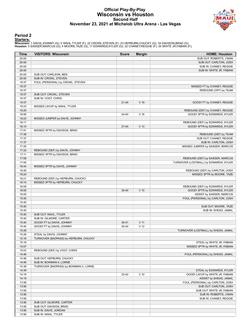### **Official Play-By-Play Wisconsin vs Houston Second Half November 23, 2021 at Michelob Ultra Arena - Las Vegas**



#### **Period 2**

<mark>Starters:</mark><br>Wisconsin: 1 DAVIS,JOHNNY (G); 5 WAHL,TYLER (F); 22 CROWL,STEVEN (F); 23 HEPBURN,CHUCKY (G); 34 DAVISON,BRAD (G);<br>Houston: 0 SASSER,MARCUS (G); 4 MOORE,TAZE (G); 11 EDWARDS,KYLER (G); 32 CHANEY,REGGIE (F); 35 W

| Time  | <b>VISITORS: Wisconsin</b>             | <b>Score</b> | <b>Margin</b>   | <b>HOME: Houston</b>                  |
|-------|----------------------------------------|--------------|-----------------|---------------------------------------|
| 20:00 |                                        |              |                 | SUB OUT: ROBERTS, J'WAN               |
| 20:00 |                                        |              |                 | SUB OUT: CARLTON, JOSH                |
| 20:00 |                                        |              |                 | SUB IN: CHANEY, REGGIE                |
| 20:00 |                                        |              |                 | SUB IN: WHITE JR, FABIAN              |
| 20:00 | SUB OUT: CARLSON, BEN                  |              |                 |                                       |
| 20:00 | SUB IN: CROWL, STEVEN                  |              |                 |                                       |
| 19:37 | FOUL (PERSONAL) by CROWL, STEVEN       |              |                 |                                       |
| 19:37 |                                        |              |                 | MISSED FT by CHANEY, REGGIE           |
| 19:37 |                                        |              |                 | REBOUND (OFF) by TEAM                 |
| 19:37 | SUB OUT: CROWL, STEVEN                 |              |                 |                                       |
| 19:37 | SUB IN: VOGT, CHRIS                    |              |                 |                                       |
| 19:37 |                                        | $21-40$      | V 19            | GOOD! FT by CHANEY, REGGIE            |
| 19:23 | MISSED LAYUP by WAHL, TYLER            |              |                 |                                       |
| 19:20 |                                        |              |                 | REBOUND (DEF) by CHANEY, REGGIE       |
| 18:56 |                                        | 24-40        | V <sub>16</sub> | GOOD! 3PTR by EDWARDS, KYLER          |
| 18:23 | MISSED JUMPER by DAVIS, JOHNNY         |              |                 |                                       |
| 18:17 |                                        |              |                 | REBOUND (DEF) by EDWARDS, KYLER       |
| 18:10 |                                        | $27-40$      | V <sub>13</sub> | GOOD! 3PTR by EDWARDS, KYLER          |
| 17:41 | MISSED 3PTR by DAVISON, BRAD           |              |                 |                                       |
| 17:38 |                                        |              |                 | REBOUND (DEF) by TEAM                 |
| 17:37 |                                        |              |                 | SUB OUT: CHANEY, REGGIE               |
| 17:37 |                                        |              |                 | SUB IN: CARLTON, JOSH                 |
| 17:25 |                                        |              |                 | MISSED JUMPER by SASSER, MARCUS       |
| 17:22 | REBOUND (DEF) by DAVIS, JOHNNY         |              |                 |                                       |
| 17:11 | MISSED 3PTR by DAVISON, BRAD           |              |                 |                                       |
| 17:08 |                                        |              |                 | REBOUND (DEF) by SASSER, MARCUS       |
| 17:00 |                                        |              |                 | TURNOVER (LOSTBALL) by EDWARDS, KYLER |
| 16:44 | MISSED 3PTR by DAVIS, JOHNNY           |              |                 |                                       |
| 16:40 |                                        |              |                 | REBOUND (DEF) by CARLTON, JOSH        |
| 16:24 |                                        |              |                 | MISSED 3PTR by MOORE, TAZE            |
| 16:21 | REBOUND (DEF) by HEPBURN, CHUCKY       |              |                 |                                       |
| 16:14 | MISSED 3PTR by HEPBURN, CHUCKY         |              |                 |                                       |
| 16:09 |                                        |              |                 | REBOUND (DEF) by EDWARDS, KYLER       |
| 16:05 |                                        | $30 - 40$    | $V$ 10          | GOOD! 3PTR by EDWARDS, KYLER          |
| 16:05 |                                        |              |                 | ASSIST by SASSER, MARCUS              |
| 15:40 |                                        |              |                 | FOUL (PERSONAL) by CARLTON, JOSH      |
| 15:40 |                                        |              |                 |                                       |
| 15:40 |                                        |              |                 | SUB OUT: MOORE, TAZE                  |
| 15:40 |                                        |              |                 | SUB IN: SHEAD, JAMAL                  |
| 15:40 | SUB OUT: WAHL, TYLER                   |              |                 |                                       |
| 15:40 | SUB IN: GILMORE, CARTER                |              |                 |                                       |
| 15:40 | GOOD! FT by DAVIS, JOHNNY              | $30 - 41$    | V <sub>11</sub> |                                       |
| 15:40 | GOOD! FT by DAVIS, JOHNNY              | $30 - 42$    | V <sub>12</sub> |                                       |
| 15:26 |                                        |              |                 | TURNOVER (LOSTBALL) by SHEAD, JAMAL   |
| 15:26 | STEAL by DAVIS, JOHNNY                 |              |                 |                                       |
| 15:16 | TURNOVER (BADPASS) by HEPBURN, CHUCKY  |              |                 |                                       |
| 15:16 |                                        |              |                 | STEAL by WHITE JR, FABIAN             |
| 15:07 |                                        |              |                 | MISSED 3PTR by WHITE JR, FABIAN       |
| 15:03 | REBOUND (DEF) by VOGT, CHRIS           |              |                 |                                       |
| 14:46 |                                        |              |                 | FOUL (PERSONAL) by SHEAD, JAMAL       |
| 14:46 | SUB OUT: HEPBURN, CHUCKY               |              |                 |                                       |
| 14:46 | SUB IN: BOWMAN II, LORNE               |              |                 |                                       |
| 14:39 | TURNOVER (BADPASS) by BOWMAN II, LORNE |              |                 |                                       |
| 14:39 |                                        |              |                 | STEAL by EDWARDS, KYLER               |
| 14:19 |                                        | 32-42        | $V$ 10          | GOOD! LAYUP by WHITE JR, FABIAN       |
| 14:19 |                                        |              |                 | ASSIST by SHEAD, JAMAL                |
| 13:56 |                                        |              |                 | FOUL (PERSONAL) by CARLTON, JOSH      |
| 13:56 |                                        |              |                 | SUB OUT: CARLTON, JOSH                |
| 13:56 |                                        |              |                 | SUB OUT: WHITE JR, FABIAN             |
| 13:56 |                                        |              |                 | SUB IN: ROBERTS, J'WAN                |
| 13:56 |                                        |              |                 | SUB IN: CHANEY, REGGIE                |
| 13:56 | SUB OUT: GILMORE, CARTER               |              |                 |                                       |
| 13:56 | SUB OUT: DAVISON, BRAD                 |              |                 |                                       |
| 13:56 | SUB IN: DAVIS, JORDAN                  |              |                 |                                       |
| 13:56 | SUB IN: WAHL, TYLER                    |              |                 |                                       |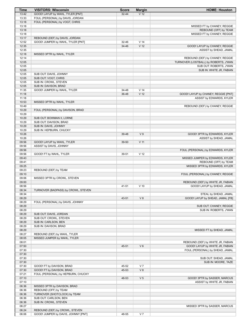| Time           | <b>VISITORS: Wisconsin</b>                     | <b>Score</b> | <b>Margin</b>   | <b>HOME: Houston</b>                  |
|----------------|------------------------------------------------|--------------|-----------------|---------------------------------------|
| 13:42          | GOOD! LAYUP by WAHL, TYLER [PNT]               | $32 - 44$    | V <sub>12</sub> |                                       |
| 13:33          | FOUL (PERSONAL) by DAVIS, JORDAN               |              |                 |                                       |
| 13:18          | FOUL (PERSONAL) by VOGT, CHRIS                 |              |                 |                                       |
| 13:18          |                                                |              |                 | MISSED FT by CHANEY, REGGIE           |
| 13:18          |                                                |              |                 | REBOUND (OFF) by TEAM                 |
| 13:18          |                                                |              |                 | MISSED FT by CHANEY, REGGIE           |
| 13:17          | REBOUND (DEF) by DAVIS, JORDAN                 |              |                 |                                       |
| 12:52          | GOOD! JUMPER by WAHL, TYLER [PNT]              | 32-46        | V <sub>14</sub> |                                       |
| 12:35          |                                                | 34-46        | V <sub>12</sub> | GOOD! LAYUP by CHANEY, REGGIE         |
| 12:35          |                                                |              |                 | ASSIST by SHEAD, JAMAL                |
| 12:18          | MISSED 3PTR by WAHL, TYLER                     |              |                 |                                       |
| 12:14          |                                                |              |                 | REBOUND (DEF) by CHANEY, REGGIE       |
| 12:05          |                                                |              |                 | TURNOVER (LOSTBALL) by ROBERTS, J'WAN |
| 12:05          |                                                |              |                 | SUB OUT: ROBERTS, J'WAN               |
| 12:05          |                                                |              |                 | SUB IN: WHITE JR, FABIAN              |
| 12:05<br>12:05 | SUB OUT: DAVIS, JOHNNY                         |              |                 |                                       |
| 12:05          | SUB OUT: VOGT, CHRIS                           |              |                 |                                       |
| 12:05          | SUB IN: CROWL, STEVEN<br>SUB IN: DAVISON, BRAD |              |                 |                                       |
| 11:35          | GOOD! JUMPER by WAHL, TYLER                    | 34-48        | V <sub>14</sub> |                                       |
| 11:18          |                                                | 36-48        | V <sub>12</sub> | GOOD! LAYUP by CHANEY, REGGIE [PNT]   |
| 11:18          |                                                |              |                 | ASSIST by EDWARDS, KYLER              |
| 10:53          | MISSED 3PTR by WAHL, TYLER                     |              |                 |                                       |
| 10:49          |                                                |              |                 | REBOUND (DEF) by CHANEY, REGGIE       |
| 10:29          | FOUL (PERSONAL) by DAVISON, BRAD               |              |                 |                                       |
| 10:29          |                                                |              |                 |                                       |
| 10:29          | SUB OUT: BOWMAN II, LORNE                      |              |                 |                                       |
| 10:29          | SUB OUT: DAVISON, BRAD                         |              |                 |                                       |
| 10:29          | SUB IN: DAVIS, JOHNNY                          |              |                 |                                       |
| 10:29          | SUB IN: HEPBURN, CHUCKY                        |              |                 |                                       |
| 10:26          |                                                | 39-48        | V <sub>9</sub>  | GOOD! 3PTR by EDWARDS, KYLER          |
| 10:26          |                                                |              |                 | ASSIST by SHEAD, JAMAL                |
| 09:56          | GOOD! LAYUP by WAHL, TYLER                     | 39-50        | $V$ 11          |                                       |
| 09:56          | ASSIST by DAVIS, JOHNNY                        |              |                 |                                       |
| 09:56          |                                                |              |                 | FOUL (PERSONAL) by EDWARDS, KYLER     |
| 09:56          | GOOD! FT by WAHL, TYLER                        | 39-51        | V <sub>12</sub> |                                       |
| 09:43          |                                                |              |                 | MISSED JUMPER by EDWARDS, KYLER       |
| 09:41          |                                                |              |                 | REBOUND (OFF) by TEAM                 |
| 09:25          |                                                |              |                 | MISSED 3PTR by EDWARDS, KYLER         |
| 09:23          | REBOUND (DEF) by TEAM                          |              |                 |                                       |
| 09:10          |                                                |              |                 | FOUL (PERSONAL) by CHANEY, REGGIE     |
| 09:06          | MISSED 3PTR by CROWL, STEVEN                   |              |                 |                                       |
| 09:00          |                                                |              |                 | REBOUND (DEF) by WHITE JR, FABIAN     |
| 08:56          |                                                | 41-51        | $V$ 10          | GOOD! LAYUP by SHEAD, JAMAL           |
| 08:34          | TURNOVER (BADPASS) by CROWL, STEVEN            |              |                 |                                       |
| 08:34          |                                                |              |                 | STEAL by SHEAD, JAMAL                 |
| 08:29<br>08:29 | FOUL (PERSONAL) by DAVIS, JOHNNY               | 43-51        | V8              | GOOD! LAYUP by SHEAD, JAMAL [FB]      |
| 08:29          |                                                |              |                 | SUB OUT: CHANEY, REGGIE               |
| 08:29          |                                                |              |                 | SUB IN: ROBERTS, J'WAN                |
| 08:29          | SUB OUT: DAVIS, JORDAN                         |              |                 |                                       |
| 08:29          | SUB OUT: CROWL, STEVEN                         |              |                 |                                       |
| 08:29          | SUB IN: CARLSON, BEN                           |              |                 |                                       |
| 08:29          | SUB IN: DAVISON, BRAD                          |              |                 |                                       |
| 08:29          |                                                |              |                 | MISSED FT by SHEAD, JAMAL             |
| 08:27          | REBOUND (DEF) by WAHL, TYLER                   |              |                 |                                       |
| 08:05          | MISSED JUMPER by WAHL, TYLER                   |              |                 |                                       |
| 08:01          |                                                |              |                 | REBOUND (DEF) by WHITE JR, FABIAN     |
| 07:50          |                                                | 45-51        | $V_6$           | GOOD! LAYUP by WHITE JR, FABIAN       |
| 07:30          |                                                |              |                 | FOUL (PERSONAL) by SHEAD, JAMAL       |
| 07:30          |                                                |              |                 |                                       |
| 07:30          |                                                |              |                 | SUB OUT: SHEAD, JAMAL                 |
| 07:30          |                                                |              |                 | SUB IN: MOORE, TAZE                   |
| 07:30          | GOOD! FT by DAVISON, BRAD                      | 45-52        | V <sub>7</sub>  |                                       |
| 07:30          | GOOD! FT by DAVISON, BRAD                      | 45-53        | V8              |                                       |
| 07:21          | FOUL (PERSONAL) by HEPBURN, CHUCKY             |              |                 |                                       |
| 07:10          |                                                | 48-53        | V <sub>5</sub>  | GOOD! 3PTR by SASSER, MARCUS          |
| 07:10          |                                                |              |                 | ASSIST by WHITE JR, FABIAN            |
| 06:36          | MISSED 3PTR by DAVISON, BRAD                   |              |                 |                                       |
| 06:36          | REBOUND (OFF) by TEAM                          |              |                 |                                       |
| 06:36          | TURNOVER (SHOTCLOCK) by TEAM                   |              |                 |                                       |
| 06:36          | SUB OUT: CARLSON, BEN                          |              |                 |                                       |
| 06:36          | SUB IN: CROWL, STEVEN                          |              |                 |                                       |
| 06:27<br>06:24 | REBOUND (DEF) by CROWL, STEVEN                 |              |                 | MISSED 3PTR by SASSER, MARCUS         |
| 06:06          | GOOD! JUMPER by DAVIS, JOHNNY [PNT]            | 48-55        | V <sub>7</sub>  |                                       |
|                |                                                |              |                 |                                       |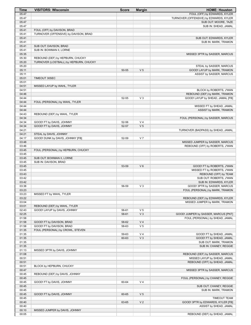| Time           | <b>VISITORS: Wisconsin</b>                             | <b>Score</b>   | <b>Margin</b>                    | <b>HOME: Houston</b>                                     |
|----------------|--------------------------------------------------------|----------------|----------------------------------|----------------------------------------------------------|
| 05:47          |                                                        |                |                                  | FOUL (OFF) by EDWARDS, KYLER                             |
| 05:47          |                                                        |                |                                  | TURNOVER (OFFENSIVE) by EDWARDS, KYLER                   |
| 05:47          |                                                        |                |                                  | SUB OUT: MOORE, TAZE                                     |
| 05:47<br>05:41 | FOUL (OFF) by DAVISON, BRAD                            |                |                                  | SUB IN: SHEAD, JAMAL                                     |
| 05:41          | TURNOVER (OFFENSIVE) by DAVISON, BRAD                  |                |                                  |                                                          |
| 05:41          |                                                        |                |                                  | SUB OUT: EDWARDS, KYLER                                  |
| 05:41          |                                                        |                |                                  | SUB IN: MARK, TRAMON                                     |
| 05:41          | SUB OUT: DAVISON, BRAD                                 |                |                                  |                                                          |
| 05:41          | SUB IN: BOWMAN II, LORNE                               |                |                                  |                                                          |
| 05:35          |                                                        |                |                                  | MISSED 3PTR by SASSER, MARCUS                            |
| 05:30          | REBOUND (DEF) by HEPBURN, CHUCKY                       |                |                                  |                                                          |
| 05:20<br>05:20 | TURNOVER (LOSTBALL) by HEPBURN, CHUCKY                 |                |                                  | STEAL by SASSER, MARCUS                                  |
| 05:11          |                                                        | 50-55          | V <sub>5</sub>                   | GOOD! LAYUP by MARK, TRAMON                              |
| 05:11          |                                                        |                |                                  | ASSIST by SASSER, MARCUS                                 |
| 05:01          | TIMEOUT 30SEC                                          |                |                                  |                                                          |
| 05:01          |                                                        |                |                                  |                                                          |
| 04:51          | MISSED LAYUP by WAHL, TYLER                            |                |                                  |                                                          |
| 04:51<br>04:46 |                                                        |                |                                  | BLOCK by ROBERTS, J'WAN<br>REBOUND (DEF) by MARK, TRAMON |
| 04:44          |                                                        | 52-55          | $V_3$                            | GOOD! LAYUP by SHEAD, JAMAL [FB]                         |
| 04:44          | FOUL (PERSONAL) by WAHL, TYLER                         |                |                                  |                                                          |
| 04:44          |                                                        |                |                                  | MISSED FT by SHEAD, JAMAL                                |
| 04:44          |                                                        |                |                                  | ASSIST by MARK, TRAMON                                   |
| 04:43          | REBOUND (DEF) by WAHL, TYLER                           |                |                                  |                                                          |
| 04:34          |                                                        |                |                                  | FOUL (PERSONAL) by SASSER, MARCUS                        |
| 04:34<br>04:34 | GOOD! FT by DAVIS, JOHNNY<br>GOOD! FT by DAVIS, JOHNNY | 52-56<br>52-57 | V <sub>4</sub><br>V <sub>5</sub> |                                                          |
| 04:21          |                                                        |                |                                  | TURNOVER (BADPASS) by SHEAD, JAMAL                       |
| 04:21          | STEAL by DAVIS, JOHNNY                                 |                |                                  |                                                          |
| 04:17          | GOOD! DUNK by DAVIS, JOHNNY [FB]                       | 52-59          | V <sub>7</sub>                   |                                                          |
| 03:48          |                                                        |                |                                  | MISSED JUMPER by SASSER, MARCUS                          |
| 03:46          |                                                        |                |                                  | REBOUND (OFF) by ROBERTS, J'WAN                          |
| 03:45          | FOUL (PERSONAL) by HEPBURN, CHUCKY                     |                |                                  |                                                          |
| 03:45<br>03:45 | SUB OUT: BOWMAN II, LORNE                              |                |                                  |                                                          |
| 03:45          | SUB IN: DAVISON, BRAD                                  |                |                                  |                                                          |
| 03:45          |                                                        | 53-59          | $V_6$                            | GOOD! FT by ROBERTS, J'WAN                               |
| 03:45          |                                                        |                |                                  | MISSED FT by ROBERTS, J'WAN                              |
| 03:43          |                                                        |                |                                  | REBOUND (OFF) by TEAM                                    |
| 03:42          |                                                        |                |                                  | SUB OUT: ROBERTS, J'WAN                                  |
| 03:42<br>03:38 |                                                        | 56-59          | $V_3$                            | SUB IN: EDWARDS, KYLER<br>GOOD! 3PTR by SASSER, MARCUS   |
| 03:23          |                                                        |                |                                  | FOUL (PERSONAL) by MARK, TRAMON                          |
| 03:23          | MISSED FT by WAHL, TYLER                               |                |                                  |                                                          |
| 03:22          |                                                        |                |                                  | REBOUND (DEF) by EDWARDS, KYLER                          |
| 03:04          |                                                        |                |                                  | MISSED JUMPER by MARK, TRAMON                            |
| 03:01          | REBOUND (DEF) by WAHL, TYLER                           |                |                                  |                                                          |
| 02:43<br>02:25 | GOOD! LAYUP by DAVIS, JOHNNY                           | 56-61<br>58-61 | V <sub>5</sub><br>V <sub>3</sub> | GOOD! JUMPER by SASSER, MARCUS [PNT]                     |
| 01:58          |                                                        |                |                                  | FOUL (PERSONAL) by SHEAD, JAMAL                          |
| 01:58          | GOOD! FT by DAVISON, BRAD                              | 58-62          | V <sub>4</sub>                   |                                                          |
| 01:58          | GOOD! FT by DAVISON, BRAD                              | 58-63          | V <sub>5</sub>                   |                                                          |
| 01:35          | FOUL (PERSONAL) by CROWL, STEVEN                       |                |                                  |                                                          |
| 01:35          |                                                        | 59-63          | V <sub>4</sub>                   | GOOD! FT by SHEAD, JAMAL                                 |
| 01:35<br>01:35 |                                                        | 60-63          | V <sub>3</sub>                   | GOOD! FT by SHEAD, JAMAL<br>SUB OUT: MARK, TRAMON        |
| 01:35          |                                                        |                |                                  | SUB IN: CHANEY, REGGIE                                   |
| 01:13          | MISSED 3PTR by DAVIS, JOHNNY                           |                |                                  |                                                          |
| 01:08          |                                                        |                |                                  | REBOUND (DEF) by SASSER, MARCUS                          |
| 00:51          |                                                        |                |                                  | MISSED LAYUP by SHEAD, JAMAL                             |
| 00:51          |                                                        |                |                                  | REBOUND (OFF) by SHEAD, JAMAL                            |
| 00:51          | BLOCK by HEPBURN, CHUCKY                               |                |                                  |                                                          |
| 00:47<br>00:45 | REBOUND (DEF) by DAVIS, JOHNNY                         |                |                                  | MISSED 3PTR by SASSER, MARCUS                            |
| 00:45          |                                                        |                |                                  | FOUL (PERSONAL) by CHANEY, REGGIE                        |
| 00:45          | GOOD! FT by DAVIS, JOHNNY                              | 60-64          | V <sub>4</sub>                   |                                                          |
| 00:45          |                                                        |                |                                  | SUB OUT: CHANEY, REGGIE                                  |
| 00:45          |                                                        |                |                                  | SUB IN: MARK, TRAMON                                     |
| 00:45          | GOOD! FT by DAVIS, JOHNNY                              | 60-65          | V <sub>5</sub>                   |                                                          |
| 00:45<br>00:40 |                                                        | 63-65          | V <sub>2</sub>                   | <b>TIMEOUT TEAM</b><br>GOOD! 3PTR by EDWARDS, KYLER [FB] |
| 00:40          |                                                        |                |                                  | ASSIST by SHEAD, JAMAL                                   |
| 00:10          | MISSED JUMPER by DAVIS, JOHNNY                         |                |                                  |                                                          |
| 00:05          |                                                        |                |                                  | REBOUND (DEF) by SHEAD, JAMAL                            |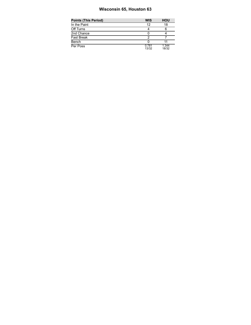# **Wisconsin 65, Houston 63**

| <b>Points (This Period)</b> | <b>WIS</b>     | <b>HOU</b>     |
|-----------------------------|----------------|----------------|
| In the Paint                | 12             | 18             |
| Off Turns                   |                | 6              |
| 2nd Chance                  |                |                |
| Fast Break                  |                |                |
| Bench                       |                |                |
| Per Poss                    | 0.781<br>13/32 | 1.344<br>18/32 |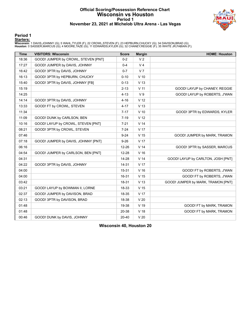#### **Official Scoring/Possession Reference Chart Wisconsin vs Houston Period 1 November 23, 2021 at Michelob Ultra Arena - Las Vegas**



**Period 1**

<mark>Starters:</mark><br>Wisconsin: 1 DAVIS,JOHNNY (G); 5 WAHL,TYLER (F); 22 CROWL,STEVEN (F); 23 HEPBURN,CHUCKY (G); 34 DAVISON,BRAD (G);<br>Houston: 0 SASSER,MARCUS (G); 4 MOORE,TAZE (G); 11 EDWARDS,KYLER (G); 32 CHANEY,REGGIE (F); 35 W

| <b>Time</b> | <b>VISITORS: Wisconsin</b>          | <b>Score</b> | <b>Margin</b>   | <b>HOME: Houston</b>               |
|-------------|-------------------------------------|--------------|-----------------|------------------------------------|
| 18:36       | GOOD! JUMPER by CROWL, STEVEN [PNT] | $0 - 2$      | V <sub>2</sub>  |                                    |
| 17:27       | GOOD! JUMPER by DAVIS, JOHNNY       | $0 - 4$      | V <sub>4</sub>  |                                    |
| 16:42       | GOOD! 3PTR by DAVIS, JOHNNY         | $0 - 7$      | V <sub>7</sub>  |                                    |
| 16:13       | GOOD! 3PTR by HEPBURN, CHUCKY       | $0 - 10$     | $V$ 10          |                                    |
| 15:40       | GOOD! 3PTR by DAVIS, JOHNNY [FB]    | $0 - 13$     | V <sub>13</sub> |                                    |
| 15:19       |                                     | $2 - 13$     | V <sub>11</sub> | GOOD! LAYUP by CHANEY, REGGIE      |
| 14:25       |                                     | $4 - 13$     | V <sub>9</sub>  | GOOD! LAYUP by ROBERTS, J'WAN      |
| 14:14       | GOOD! 3PTR by DAVIS, JOHNNY         | $4 - 16$     | V <sub>12</sub> |                                    |
| 13:33       | GOOD! FT by CROWL, STEVEN           | $4 - 17$     | V <sub>13</sub> |                                    |
| 11:34       |                                     | $7 - 17$     | $V$ 10          | GOOD! 3PTR by EDWARDS, KYLER       |
| 11:09       | GOOD! DUNK by CARLSON, BEN          | $7 - 19$     | V <sub>12</sub> |                                    |
| 10:16       | GOOD! LAYUP by CROWL, STEVEN [PNT]  | $7 - 21$     | V <sub>14</sub> |                                    |
| 08:21       | GOOD! 3PTR by CROWL, STEVEN         | $7 - 24$     | V <sub>17</sub> |                                    |
| 07:46       |                                     | $9 - 24$     | V <sub>15</sub> | GOOD! JUMPER by MARK, TRAMON       |
| 07:18       | GOOD! JUMPER by DAVIS, JOHNNY [PNT] | $9 - 26$     | V <sub>17</sub> |                                    |
| 06:16       |                                     | 12-26        | V <sub>14</sub> | GOOD! 3PTR by SASSER, MARCUS       |
| 04:54       | GOOD! JUMPER by CARLSON, BEN [PNT]  | 12-28        | V <sub>16</sub> |                                    |
| 04:31       |                                     | $14 - 28$    | V <sub>14</sub> | GOOD! LAYUP by CARLTON, JOSH [PNT] |
| 04:22       | GOOD! 3PTR by DAVIS, JOHNNY         | 14-31        | V <sub>17</sub> |                                    |
| 04:00       |                                     | 15-31        | V <sub>16</sub> | GOOD! FT by ROBERTS, J'WAN         |
| 04:00       |                                     | 16-31        | V <sub>15</sub> | GOOD! FT by ROBERTS, J'WAN         |
| 03:42       |                                     | 18-31        | V <sub>13</sub> | GOOD! JUMPER by MARK, TRAMON [PNT] |
| 03:21       | GOOD! LAYUP by BOWMAN II, LORNE     | 18-33        | V <sub>15</sub> |                                    |
| 02:37       | GOOD! JUMPER by DAVISON, BRAD       | 18-35        | V 17            |                                    |
| 02:13       | GOOD! 3PTR by DAVISON, BRAD         | 18-38        | V <sub>20</sub> |                                    |
| 01:48       |                                     | 19-38        | V <sub>19</sub> | GOOD! FT by MARK, TRAMON           |
| 01:48       |                                     | 20-38        | V 18            | GOOD! FT by MARK, TRAMON           |
| 00:46       | GOOD! DUNK by DAVIS, JOHNNY         | $20 - 40$    | V <sub>20</sub> |                                    |

**Wisconsin 40, Houston 20**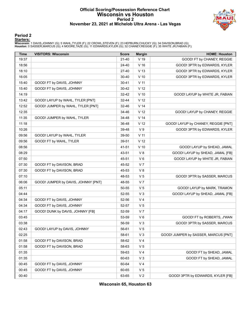#### **Official Scoring/Possession Reference Chart Wisconsin vs Houston Period 2 November 23, 2021 at Michelob Ultra Arena - Las Vegas**



### **Period 2**

<mark>Starters:</mark><br>Wisconsin: 1 DAVIS,JOHNNY (G); 5 WAHL,TYLER (F); 22 CROWL,STEVEN (F); 23 HEPBURN,CHUCKY (G); 34 DAVISON,BRAD (G);<br>Houston: 0 SASSER,MARCUS (G); 4 MOORE,TAZE (G); 11 EDWARDS,KYLER (G); 32 CHANEY,REGGIE (F); 35 W

| Time  | <b>VISITORS: Wisconsin</b>          | <b>Score</b> | <b>Margin</b>   | <b>HOME: Houston</b>                 |
|-------|-------------------------------------|--------------|-----------------|--------------------------------------|
| 19:37 |                                     | $21 - 40$    | $V$ 19          | GOOD! FT by CHANEY, REGGIE           |
| 18:56 |                                     | 24-40        | V <sub>16</sub> | GOOD! 3PTR by EDWARDS, KYLER         |
| 18:10 |                                     | 27-40        | V <sub>13</sub> | GOOD! 3PTR by EDWARDS, KYLER         |
| 16:05 |                                     | 30-40        | $V$ 10          | GOOD! 3PTR by EDWARDS, KYLER         |
| 15:40 | GOOD! FT by DAVIS, JOHNNY           | $30 - 41$    | $V$ 11          |                                      |
| 15:40 | GOOD! FT by DAVIS, JOHNNY           | 30-42        | V <sub>12</sub> |                                      |
| 14:19 |                                     | 32-42        | $V$ 10          | GOOD! LAYUP by WHITE JR, FABIAN      |
| 13:42 | GOOD! LAYUP by WAHL, TYLER [PNT]    | 32-44        | V <sub>12</sub> |                                      |
| 12:52 | GOOD! JUMPER by WAHL, TYLER [PNT]   | 32-46        | V <sub>14</sub> |                                      |
| 12:35 |                                     | 34-46        | V <sub>12</sub> | GOOD! LAYUP by CHANEY, REGGIE        |
| 11:35 | GOOD! JUMPER by WAHL, TYLER         | 34-48        | V <sub>14</sub> |                                      |
| 11:18 |                                     | 36-48        | V <sub>12</sub> | GOOD! LAYUP by CHANEY, REGGIE [PNT]  |
| 10:26 |                                     | 39-48        | V <sub>9</sub>  | GOOD! 3PTR by EDWARDS, KYLER         |
| 09:56 | GOOD! LAYUP by WAHL, TYLER          | 39-50        | V <sub>11</sub> |                                      |
| 09:56 | GOOD! FT by WAHL, TYLER             | 39-51        | V <sub>12</sub> |                                      |
| 08:56 |                                     | 41-51        | $V$ 10          | GOOD! LAYUP by SHEAD, JAMAL          |
| 08:29 |                                     | 43-51        | V8              | GOOD! LAYUP by SHEAD, JAMAL [FB]     |
| 07:50 |                                     | 45-51        | $V_6$           | GOOD! LAYUP by WHITE JR, FABIAN      |
| 07:30 | GOOD! FT by DAVISON, BRAD           | 45-52        | V <sub>7</sub>  |                                      |
| 07:30 | GOOD! FT by DAVISON, BRAD           | 45-53        | V8              |                                      |
| 07:10 |                                     | 48-53        | V <sub>5</sub>  | GOOD! 3PTR by SASSER, MARCUS         |
| 06:06 | GOOD! JUMPER by DAVIS, JOHNNY [PNT] | 48-55        | V <sub>7</sub>  |                                      |
| 05:11 |                                     | 50-55        | V <sub>5</sub>  | GOOD! LAYUP by MARK, TRAMON          |
| 04:44 |                                     | 52-55        | V <sub>3</sub>  | GOOD! LAYUP by SHEAD, JAMAL [FB]     |
| 04:34 | GOOD! FT by DAVIS, JOHNNY           | 52-56        | V <sub>4</sub>  |                                      |
| 04:34 | GOOD! FT by DAVIS, JOHNNY           | 52-57        | V <sub>5</sub>  |                                      |
| 04:17 | GOOD! DUNK by DAVIS, JOHNNY [FB]    | 52-59        | V <sub>7</sub>  |                                      |
| 03:45 |                                     | 53-59        | $V_6$           | GOOD! FT by ROBERTS, J'WAN           |
| 03:38 |                                     | 56-59        | V <sub>3</sub>  | GOOD! 3PTR by SASSER, MARCUS         |
| 02:43 | GOOD! LAYUP by DAVIS, JOHNNY        | 56-61        | V <sub>5</sub>  |                                      |
| 02:25 |                                     | 58-61        | $V_3$           | GOOD! JUMPER by SASSER, MARCUS [PNT] |
| 01:58 | GOOD! FT by DAVISON, BRAD           | 58-62        | V 4             |                                      |
| 01:58 | GOOD! FT by DAVISON, BRAD           | 58-63        | V <sub>5</sub>  |                                      |
| 01:35 |                                     | 59-63        | V <sub>4</sub>  | GOOD! FT by SHEAD, JAMAL             |
| 01:35 |                                     | 60-63        | $V_3$           | GOOD! FT by SHEAD, JAMAL             |
| 00:45 | GOOD! FT by DAVIS, JOHNNY           | 60-64        | V <sub>4</sub>  |                                      |
| 00:45 | GOOD! FT by DAVIS, JOHNNY           | 60-65        | V <sub>5</sub>  |                                      |
| 00:40 |                                     | 63-65        | V <sub>2</sub>  | GOOD! 3PTR by EDWARDS, KYLER [FB]    |

**Wisconsin 65, Houston 63**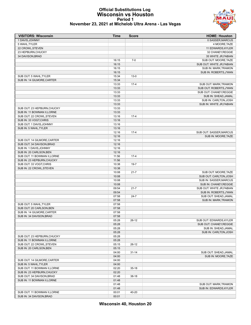#### **Official Substitutions Log Wisconsin vs Houston Period 1 November 23, 2021 at Michelob Ultra Arena - Las Vegas**



| <b>VISITORS: Wisconsin</b>   | Time  | <b>Score</b> | <b>HOME: Houston</b>      |
|------------------------------|-------|--------------|---------------------------|
| 1 DAVIS, JOHNNY              |       |              | 0 SASSER, MARCUS          |
| 5 WAHL, TYLER                |       |              | 4 MOORE, TAZE             |
| 22 CROWL, STEVEN             |       |              | 11 EDWARDS, KYLER         |
| 23 HEPBURN, CHUCKY           |       |              | 32 CHANEY, REGGIE         |
| 34 DAVISON, BRAD             |       |              | 35 WHITE JR, FABIAN       |
|                              | 16:15 | $7-0$        | SUB OUT: MOORE, TAZE      |
|                              | 16:15 |              | SUB OUT: WHITE JR, FABIAN |
|                              | 16:15 |              | SUB IN: MARK, TRAMON      |
|                              | 16:15 |              | SUB IN: ROBERTS, J'WAN    |
| SUB OUT: 5 WAHL, TYLER       | 15:34 | $13-0$       |                           |
| SUB IN: 14 GILMORE, CARTER   | 15:34 |              |                           |
|                              | 13:33 | $17 - 4$     | SUB OUT: MARK, TRAMON     |
|                              | 13:33 |              | SUB OUT: ROBERTS, J'WAN   |
|                              | 13:33 |              | SUB OUT: CHANEY, REGGIE   |
|                              | 13:33 |              | SUB IN: SHEAD, JAMAL      |
|                              | 13:33 |              | SUB IN: CARLTON, JOSH     |
|                              | 13:33 |              | SUB IN: WHITE JR, FABIAN  |
| SUB OUT: 23 HEPBURN, CHUCKY  | 13:33 |              |                           |
| SUB IN: 11 BOWMAN II, LORNE  | 13:33 |              |                           |
| SUB OUT: 22 CROWL, STEVEN    | 13:16 | $17 - 4$     |                           |
| SUB IN: 33 VOGT, CHRIS       | 13:16 |              |                           |
| SUB OUT: 1 DAVIS, JOHNNY     | 13:16 |              |                           |
| SUB IN: 5 WAHL, TYLER        | 13:16 |              |                           |
|                              | 12:16 | $17 - 4$     | SUB OUT: SASSER, MARCUS   |
|                              | 12:16 |              | SUB IN: MOORE.TAZE        |
| SUB OUT: 14 GILMORE, CARTER  | 12:16 |              |                           |
| SUB OUT: 34 DAVISON, BRAD    | 12:16 |              |                           |
| SUB IN: 1 DAVIS, JOHNNY      | 12:16 |              |                           |
| SUB IN: 20 CARLSON, BEN      | 12:16 |              |                           |
| SUB OUT: 11 BOWMAN II, LORNE | 11:56 | $17 - 4$     |                           |
| SUB IN: 23 HEPBURN, CHUCKY   | 11:56 |              |                           |
| SUB OUT: 33 VOGT, CHRIS      | 10:38 | $19 - 7$     |                           |
| SUB IN: 22 CROWL, STEVEN     | 10:38 |              |                           |
|                              | 10:08 | $21 - 7$     | SUB OUT: MOORE, TAZE      |
|                              | 10:08 |              | SUB OUT: CARLTON, JOSH    |
|                              | 10:08 |              | SUB IN: SASSER, MARCUS    |
|                              | 10:08 |              | SUB IN: CHANEY, REGGIE    |
|                              | 09:54 | $21 - 7$     | SUB OUT: WHITE JR, FABIAN |
|                              | 09:54 |              | SUB IN: ROBERTS, J'WAN    |
|                              | 07:58 | $24 - 7$     | SUB OUT: SHEAD, JAMAL     |
|                              | 07:58 |              | SUB IN: MARK, TRAMON      |
| SUB OUT: 5 WAHL, TYLER       | 07:58 |              |                           |
| SUB OUT: 20 CARLSON.BEN      | 07:58 |              |                           |
| SUB IN: 14 GILMORE, CARTER   | 07:58 |              |                           |
| SUB IN: 34 DAVISON.BRAD      | 07:58 |              |                           |
|                              | 05:28 | 26-12        | SUB OUT: EDWARDS, KYLER   |
|                              | 05:28 |              | SUB OUT: CHANEY, REGGIE   |
|                              | 05:28 |              | SUB IN: SHEAD, JAMAL      |
|                              | 05:28 |              | SUB IN: CARLTON, JOSH     |
| SUB OUT: 23 HEPBURN, CHUCKY  | 05:28 |              |                           |
| SUB IN: 11 BOWMAN II, LORNE  | 05:28 |              |                           |
| SUB OUT: 22 CROWL, STEVEN    | 05:15 | 26-12        |                           |
| SUB IN: 20 CARLSON, BEN      | 05:15 |              |                           |
|                              | 04:00 | $31 - 14$    | SUB OUT: SHEAD, JAMAL     |
|                              | 04:00 |              | SUB IN: MOORE, TAZE       |
| SUB OUT: 14 GILMORE, CARTER  | 04:00 |              |                           |
| SUB IN: 5 WAHL, TYLER        | 04:00 |              |                           |
| SUB OUT: 11 BOWMAN II, LORNE | 02:20 | $35-18$      |                           |
| SUB IN: 23 HEPBURN, CHUCKY   | 02:20 |              |                           |
| SUB OUT: 34 DAVISON, BRAD    | 01:48 | $38-18$      |                           |
| SUB IN: 11 BOWMAN II, LORNE  | 01:48 |              |                           |
|                              | 01:48 |              | SUB OUT: MARK, TRAMON     |
|                              | 01:48 |              | SUB IN: EDWARDS, KYLER    |
| SUB OUT: 11 BOWMAN II, LORNE | 00:01 | 40-20        |                           |
| SUB IN: 34 DAVISON, BRAD     | 00:01 |              |                           |